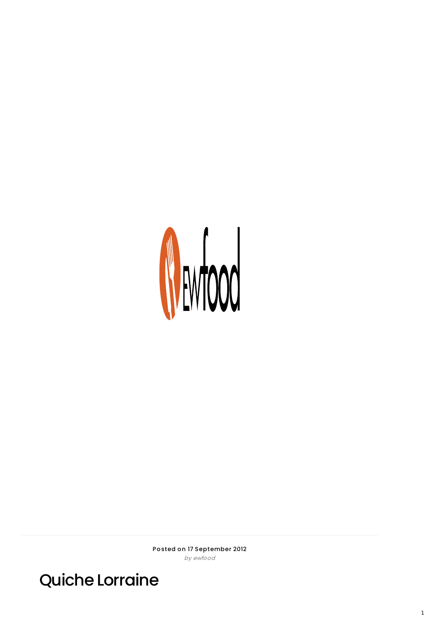

Posted on 17 September 2012 by ewfood

**Quiche Lorraine**